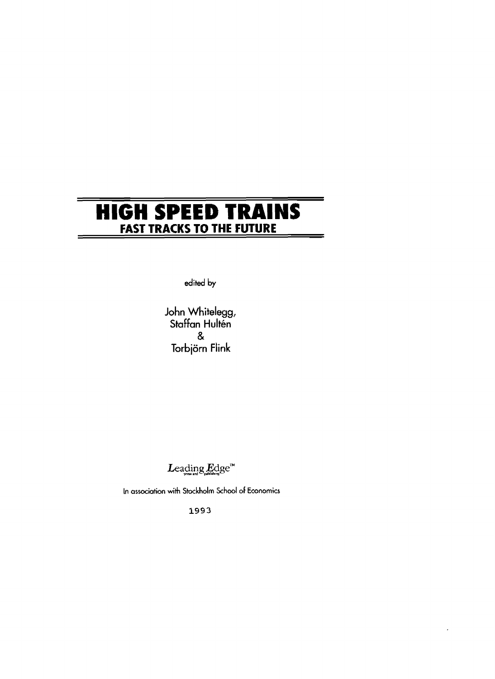# **HIGH SPEED TRAINS FAST TRACKS TO THE FUTURE**

**edited by** 

John **Whitelegg, Staffan Hultén** & **Torbiorn Flink** 

 $\text{Leading Edge}^{\omega}$ 

In **association with Stockholm School of Economics** 

**1993**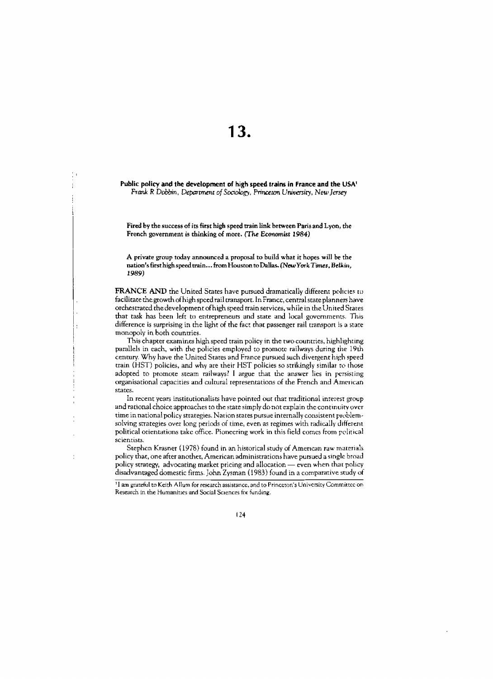Public policy and the development of high speed trains in France and the USA<sup>1</sup> Frank R Dobbin, Department of Sociology, Princeton University, New Jersey

Fired by the success of its first high speed train link between Paris and Lyon, the French government is thinking of more. (The Economist 1984)

A private group today announced a proposal to build what it hopes will be the nation's first high speed train... from Houston to Dallas, (New York Times, Belkin, 1989)

FRANCE AND the United States have pursued dramatically different policies to facilitate the growth of high speed rail transport. In France, central state planners have orchestrated the development of high speed train services, while in the United States that task has been left to entrepreneurs and state and local governments. This difference is surprising in the light of the fact that passenger rail transport is a state monopoly in both countries.

This chapter examines high speed train policy in the two countries, highlighting parallels in each, with the policies employed to promote railways during the 19th century. Why have the United States and France pursued such divergent high speed train (HST) policies, and why are their HST policies so strikingly similar to those adopted to promote steam railways? I argue that the answer lies in persisting organisational capacities and cultural representations of the French and American states.

In recent years institutionalists have pointed out that traditional interest group and rational choice approaches to the state simply do not explain the continuity over time in national policy strategies. Nation states pursue internally consistent problemsolving strategies over long periods of time, even as regimes with radically different political orientations take office. Pioneering work in this field comes from political scientists.

Stephen Krasner (1978) found in an historical study of American raw materials policy that, one after anothet, American administrations have pursued a single broad policy strategy, advocating market pricing and allocation — even when that policy disadvantaged domestic firms. John Zysman (1983) found in a comparative study of

I am grateful to Keith Allum for research assistance, and to Princeton's University Committee on Research in the Humanities and Social Sciences for funding.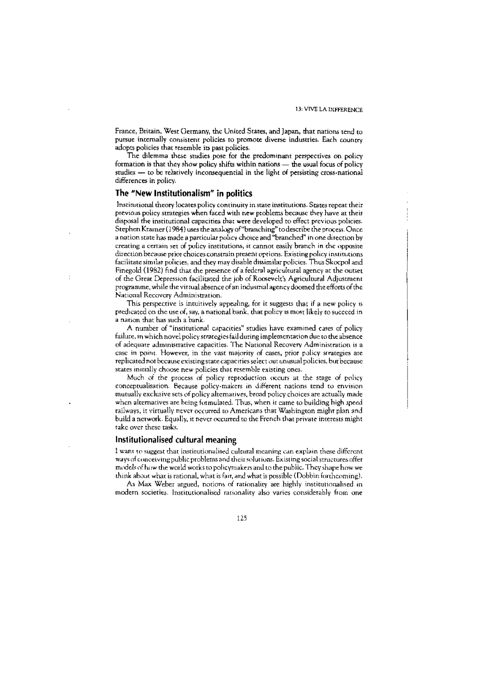France, Britain, **Wesc** Germany, **thc** United **States,** and Japan, hat nations tend to pursue internally consistent policies ro promote diverse industries. Each country adopts policies **thar** resemble in past policies.

adopts policies that resemble its past policies.<br>The dilemma these studies pose for the predominant perspectives on policy formation is that they show policy shifts within nations - the usual focus of policy formation is that they show policy shifts within nations  $-$  the usual focus of policy studies  $-$  to be relatively inconsequential in the light of persisting cross-national differences in **policy**.

# **The "New Institutionalism" in politics**

Instirucional **theory** locates policy continuity in state institutions. **States** repeat their previous policy strategies when faced **with new** problems **because** thev have at their disposal **the** institurional capacities that were developed to effect **prcvious policies.**  Stephen Krasner (1984) uses the analogy of "branching" to describe the process. Once a nation state hx~ made a particular ppltcy **dloice** and "branched" in one direct~on by creating a certain set of puIicy institutions, **~t** cannot easily branch **in rhc** t~pposite direction because prior choices constrain present options. Existing policy institutions facilitate similar **pulicles,** and they may disahle dissimilar plicics. Thus Skocpol and Finegold (1982) f~nd that the presence of a **fedcral** agricultural **agency ar** the outset of the Great Depression facilitated the job of Roosevelt's Agricultural Adjustment programme, while the virtual absence of an industrial agency doomed the efforts of the National Recovery Administration.

This perspective is intuitively appealing, for it suggests that if a new policy is predicated on the use of, say, a national bank, that policy is most likely to succeed in **a nation** that **has such a bank.** 

A number of "institutional capacities" studies have examined cases of policy failure, in which novelpoIicy srraregics hilduring implementarion **duc** to **the** absence of adequate **adrnln~~tive** capacities. The Nacional Recoverv Adminisrration is a casc in polr~t. However, in the vast **majority** of **cases,** prior pillicy **srmcegies** are replicated not because existing state capacities select out unusual policies, but because states **trally** choose new policies that resemble existing ones.

**Much** of the process of policy reproduction occurs at the stage of policy rnnceptualisarion. Recause policy-makers **in dlfferent** nations tend to **envislon**  mutually exclusive sets of policy alternatives, broad policy choices are actually made when alternatives are being formulated. Thus, when it came to building high speed railways, it virtually ncvcr **wcurred** to Americans that Washington mighr **plan** and build a network. **Equally,** it **ncvcr** nccurred to the French hat private **interests** might *takc* ovcr thcsc **tasks.** 

# **lnstitutionalised cultural meaning**

I want to suggest that institutionalised cultural meaning can explain these different ways of conceiving public problems and their solutions. Existing social structures offer midel5 of **hc~w che** world works ro pol~cymaken and to the public. Thcy **shapehow** we **thlnk** abrllut what is rational, what is Fair, and **what** is possiblc (Dobbin forthcoming).

As Max Weber argued, notions of rationality are highly institutionalised in modern societies. Institutionalised rationality also varies considerably from one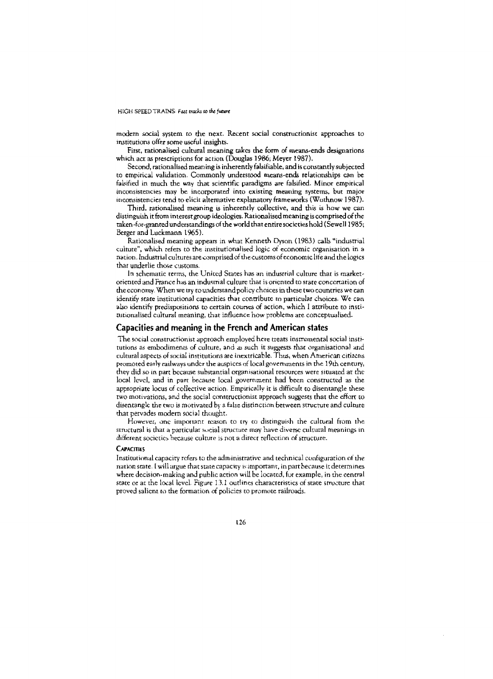modern social system to the next. Recent social constructionist approaches to institutions offer some uscful insights.

First, rationalised cultural meaning rakes the form of means-ends designations which act as prescriptions for action (Douglas 1986: Mever 1987).

Second, rationalised meaning is inherently falsifiable, and is constantly subjected to empirical validation. Commonly understood means-ends relationships can be falsified in much the way that scientific paradigms are falsified. Minor empirical inconsistencies may be incorporated into existing meaning systems, but major inconsistencies tend to elicit alternative explanatory frameworks (Wuthnow 1987).

Third, rationalised meaning is inherently collective, and this is how we can distinguish it from interest group ideologies. Rationalised meaning is comprised of the taken-for-granted understandings of the world that entire societies hold (Sewell 1985; Berger and Luckmann 1965).

Rationalised meaning appears in what Kenneth Dyson (1983) calls "industrial culture", which refers to the institutionalised logic of economic organisation in a nation. Industrial cultures are comprised of the customs of economic life and the logics that underlie those customs.

In schematic terms, the United States has an industrial culture that is marketoriented and France has an industrial culture that is oriented to state concertation of the economy. When we try to understand policy choices in these two countries we can identify state institutional capacities that contribute to particular choices. We can also identify predispositions to certain courses of action, which I attribute to institutionalised cultural meaning, that influence how problems are conceptualised.

# Capacities and meaning in the French and American states

The social constructionist approach employed here treats instrumental social institutions as embodiments of culture, and as such it suggests that organisational and cultural aspects of social institutions are inextricable. Thus, when American citizens promoted early railways under the auspices of local governments in the 19th century. they did so in part because substantial organisational resources were situated at the local level, and in part because local government had been constructed as the appropriate locus of collective action. Empirically it is difficult to disentangle these two motivations, and the social constructionist approach suggests that the effort to disentangle the two is motivated by a false distinction between structute and culture that pervades modern social thought.

However, and important reason to try to distinguish the cultural from the structural is that a particular social structure may have diverse cultural meanings in different societies because culture is not a direct reflection of structure.

### CAPACITIES

Institutional capacity refers to the administrative and technical configuration of the nation state. I will argue that state capacity is important, in part because it determines where decision-making and public action will be located, for example, in the central state or at the local level. Figure 13.1 outlines characteristics of state structure that proved salient to the formation of policies to promote railroads.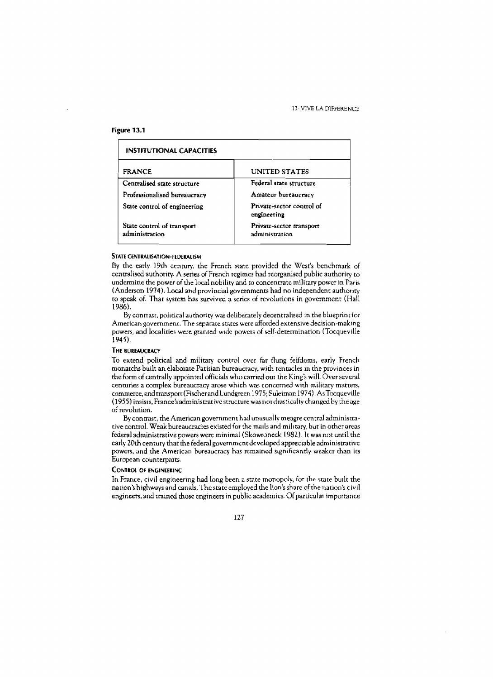#### Figure 13.1

| <b>INSTITUTIONAL CAPACITIES</b>              |                                            |
|----------------------------------------------|--------------------------------------------|
| <b>FRANCE</b>                                | UNITED STATES                              |
| Centralised state structure                  | Federal state structure                    |
| Professionalised bureaucracy                 | Amateur bureaucracy                        |
| State control of engineering                 | Private-sector control of<br>engineering   |
| State control of transport<br>administration | Private-sector transport<br>administration |

## **STATE CENTRALISATION-FEDERALISM**

By the early 19th century, the French state provided the West's benchmark of centralised authority. A series of French regimes had reorganised public authority to undermine the power of the local nobility and to concentrate military power in Paris (Anderson 1974). Local and provincial governments had no independent authority to speak of. That system has survived a series of revolutions in government (Hall  $1986$ ).

By contrast, political authority was deliberately decentralised in the blueprint for American government. The separate states were afforded extensive decision-making powers, and localities were granted wide powers of self-determination (Tocqueville  $1945.$ 

# THE BUREAUCRACY

To extend political and military control over far flung feifdoms, early French monarchs built an elaborate Parisian bureaucracy, with tentacles in the provinces in the form of centrally appointed officials who carried out the King's will. Over several centuries a complex bureaucracy arose which was concerned with military matters, commerce, and transport (Fischer and Lundgreen 1975; Suleiman 1974). As Tocqueville (1955) insists, France's administrative structure was not drastically changed by the age of revolution.

By contrast, the American government had unusually meagre central administrative control. Weak bureaucracies existed for the mails and military, but in other areas federal administrative powers were minimal (Skowtoneck 1982). It was not until the early 20th century that the federal government developed appreciable administrative powers, and the American bureaucracy has remained significantly weaker than its European counterparts.

## CONTROL OF ENGINEERING

In France, civil engineering had long been a state monopoly, for the state built the nation's highways and canals. The state employed the lion's share of the nation's civil engineers, and trained those engineers in public academies. Of particular importance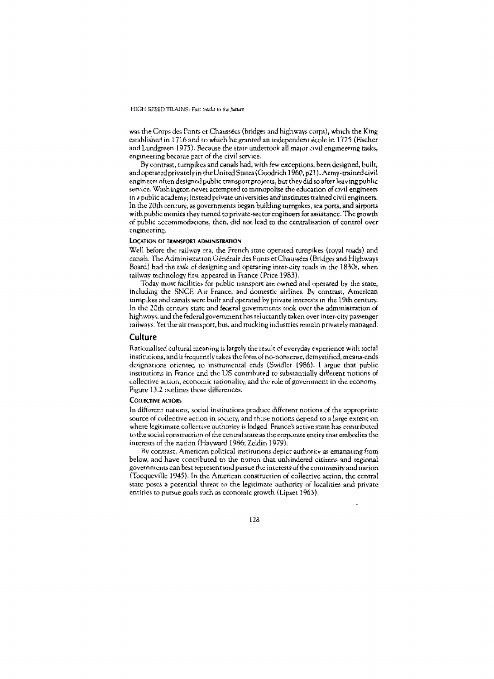was the Corps des Ponts et Chaussées (bridges and highways corps), which the King established in 1716 and to which he granted an independent école in 1775 (Fischer and Lundgreen 1975). Because the state undertook all major civil engineering rasks, engineering became part of the civil service.

By contrast, turnpikes and canals had, with few exceptions, been designed, built, and operated privately in the United States (Goodrich 1960, p21). Army-trained civil engineers often designed public transport projects, but they did so after leaving public service. Washington never attempted to monopolise the education of civil engineers in a public academy; instead private universities and institutes trained civil engineers. In the 20th century, as governments began building turnpikes, sea ports, and airports with public monies they turned to private-sector engineers for assistance. The growth of public accommodations, then, did not lead to the centralisation of control over cogineering.

# **LOCATION OF TRANSPORT ADMINISTRATION**

Well before the railway cra, the French state operated turnpikes (toval roads) and canals. The Administration Générale des Ponts et Chaussées (Bridges and Highways Board) had the task of designing and operating inter-city roads in the 1830s, when railway technology fitst appeared in France (Price 1983).

Today most facilities for public transport are owned and operated by the state. including the SNCF. Air France, and domestic airlines. By contrast, American turnpikes and canals were built and operated by private interests in the 19th century. In the 20th century state and federal governments took over the administration of highways, and the federal government has reluctantly taken over inter-city passenger railways. Yet the air transport, bus, and trucking industries remain privately managed.

# Culture

Rationalised cultural meaning is largely the result of everyday experience with social institutions, and it frequently takes the form of no-nonsense, demystified, means-ends designations oriented to instrumental ends (Swidler 1986). I argue that public institutions in France and the US contributed to substantially different notions of collective action, economic rationality, and the role of government in the economy. Figure 13.2 outlines those differences.

# COLLECTIVE ACTORS

In different nations, social institutions produce different notions of the appropriate source of collective action in society, and those notions depend to a large extent on where legitimate collective authority is lodged. France's active state has contributed to the social construction of the central state as the corporate entity that embodies the interests of the nation (Hayward 1986: Zeldin 1979).

By contrast, American political institutions depict authority as emanating from below, and have contributed to the notion that unbindered citizens and regional governments can best represent and pursue the interests of the community and nation (Tocqueville 1945). In the American construction of collective action, the central state poses a potential threat to the legitimate authority of localities and private entities to pursue goals such as economic growth (Lipset 1963).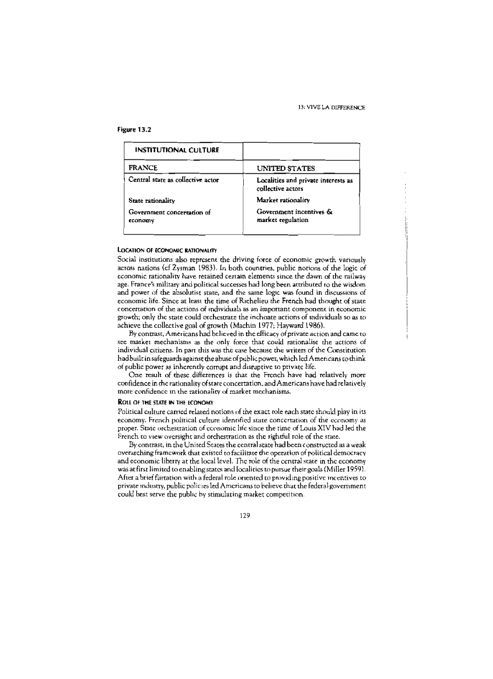#### Figure 13.2

| INSTITUTIONAL CULTURE                 |                                                          |
|---------------------------------------|----------------------------------------------------------|
| <b>FRANCE</b>                         | UNITED STATES                                            |
| Central state as collective actor     | Localities and private interests as<br>collective actors |
| State rationality                     | Market rationality                                       |
| Government concertation of<br>economy | Government incentives &<br>market regulation             |

#### LOCATION OF ECONOMIC RATIONALITY

Social institutions also represent the driving force of economic growth variously across nations (cf Zysman 1983). In both countries, public notions of the logic of economic rationality have retained certain elements since the dawn of the railway age. France's military and political successes had long been attributed to the wisdom and power of the absolutist state, and the same logic was found in discussions of economic life. Since at least the time of Richelieu the French had thought of state concertation of the actions of individuals as an important component in economic growth; only the state could orchestrate the inchoate actions of individuals so as to achieve the collective goal of growth (Machin 1977: Havward 1986).

By contrast, Americans had believed in the efficacy of private action and came to see market mechanisms as the only force that could rationalise the actions of individual citizens. In part this was the case because the writers of the Constitution had built in safeguards against the abuse of public power, which led Americans to think of public power as inherently corrupt and disruptive to private life.

One result of these differences is that the French have had relatively more confidence in the rationality of state concertation, and Americans have had relatively more confidence in the rationality of market mechanisms.

#### **ROLE OF THE STATE IN THE FCONOMY**

Political culture carried related notions of the exact role each state should play in its economy. French political culture identified state concertation of the economy as proper. State orchestration of economic life since the time of Louis XIV had led the French to view oversight and orchestration as the rightful role of the state.

By contrast, in the United States the central state had been constructed as a weak overarching framework that existed to facilitate the operation of political democracy and economic liberry at the local level. The role of the central state in the economy was at first limited to enabling states and localities to pursue their goals (Miller 1959). After a brief flittation with a federal role oriented to providing positive incentives to private industry, public policies led Americans to believe that the federal government could best serve the public by stimulating market competition.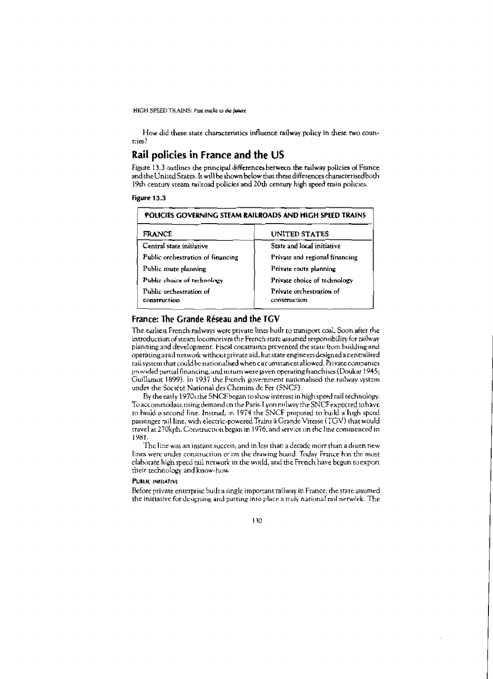How did these state characteristics influence railway policy in these two countries?

# Rail policies in France and the US

Figure 13.3 outlines the principal differences between the railway policies of France and the United States. It will be shown below that these differences characterised both 19th century steam railroad policies and 20th century high speed train policies.

# Figure 13.3

| <b>POLICIES GOVERNING STEAM RAILROADS AND HIGH SPEED TRAINS</b> |                                          |  |
|-----------------------------------------------------------------|------------------------------------------|--|
| FRANCE                                                          | UNITED STATES                            |  |
| Central state initiative                                        | State and local initiarive               |  |
| Public orchestration of financing                               | Private and regional financing           |  |
| Public route planning                                           | Private route planning                   |  |
| Public choice of technology                                     | Private choice of technology             |  |
| Public orchestration of<br>construction                         | Private orchestration of<br>construction |  |

# France: The Grande Réseau and the TGV

The earliest French railways were private lines built to transport coal. Soon after the introduction of steam locomotives the French state assumed tesponsibility for railway planning and development. Fiscal constraints provented the state from building and operating a rail network without private aid, but state engineers designed a centralised rail system that could be nationalised when circumstances allowed. Private companies provided partial financing, and in turn were given operating franchises (Doukas 1945; Guillamot 1899). In 1937 the French government nationalised the railway system under the Société National des Chemins de Fer (SNCF).

By the early 1970s the SNCF began to show interest in high speed rail technology. To accommodate rising demand on the Paris-Lyon milway the SNCF expected to have to build a second line. Instead, in 1974 the SNCF proposed to build a high speed passenger rail line, with electric-powered Trains à Grande Vitesse (TGV) that would travel at 270kph. Construction began in 1976, and service on the line commenced in 1981.

The line was an instant success, and in less than a decade more than a dozen new lines were under construction or on the drawing board. Today France has the most elaborate high speed rail network in the world, and the French have begun to export their technology and know-how.

# **PUBLIC INITIATIVE**

Before private enterprise built a single important railway in France, the state assumed the initiative for designing and putting into place a truly national rail network. The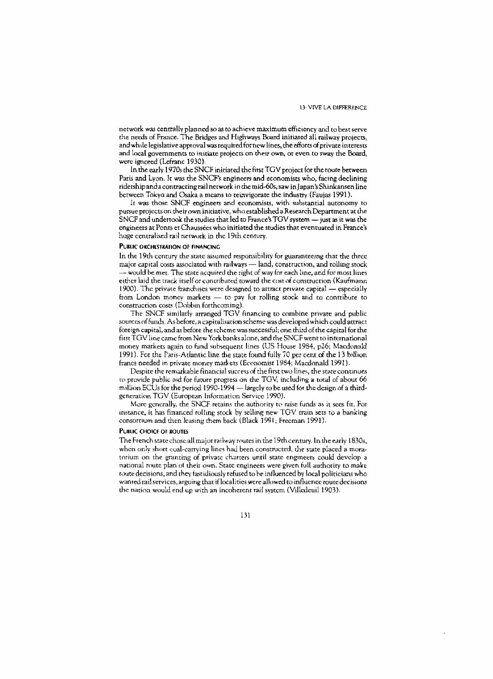network was centrally planned so as to achieve maximum efficiency and to best serve the needs of France. The Bridges and Highways Board initiated all railway projects. and while legislative approval was required for new lines, the efforts of private interests and local governments to initiate projects on their own, or even to sway the Board, were ignored (Lefranc 1930).

In the early 1970s the SNCF initiated the first TGV project for the route between Paris and Lyon. It was the SNCF's engineers and economists who, facing declining ridership and a contracting rail network in the mid-60s, saw in Japan's Shinkansen line between Tokyo and Osaka a means to reinvigorate the industry (Faujas 1991).

It was those SNCF engineers and economists, with substantial autonomy to pursue projects on their own iniciative, who established a Research Department at the SNCF and undertook the studies that led to France's TGV system — just as it was the engineers at Ponts er Chaussées who initiated the studies that eventuated in France's huge centralised rail network in the 19th century.

#### PUBLIC ORCHESTRATION OF FINANCING

In the 19th century the state assumed responsibility for guaranteeing that the three major capital costs associated with railways — land, construction, and rolling srock - would be met. The state acquired the right of way for each line, and for most lines either laid the track itself or contributed toward the cost of construction (Kaufmann  $(900)$ . The private franchises were designed to attract private capital — especially from London money markets - to pay for rolling stock and to contribute to construction costs (Dobbin forthcoming).

The SNCF similarly arranged TGV financing to combine private and public sources of funds. As before, a capitalisation scheme was developed which could attract foreign capital, and as before the scheme was successful; one third of the capital for the first TGV line came from New York banks alone, and the SNCF went to international money markets again to fund subsequent lines (US House 1984, p26; Macdonald 1991). For the Paris-Atlantic line the state found fully 70 per cent of the 13 billion francs needed in private money markets (Economist 1984; Macdonald 1991).

Despite the remarkable financial success of the first two lines, the state continues to provide public aid for future progress on the TGV, including a total of about 66 million ECUs for the period 1990-1994 — largely to be used for the design of a thirdgeneration TGV (European Information Service 1990).

More generally, the SNCF retains the authority to raise funds as it sees fit. For instance, it has financed rolling stock by selling new TGV train sets to a banking consortium and then leasing them back (Black 1991; Freeman 1991).

#### **PUBLIC CHOICE OF ROUTES**

The French state chose all major railway routes in the 19th century. In the early 1830s, when only short coal-carrying lines had been constructed, the state placed a moratorium on the granting of private charters until state engineers could develop a national route plan of their own. State engineers were given full authority to make route decisions, and they fastidiously refused to be influenced by local politicians who wanted rail services, arguing that if localities were allowed to influence route decisions the nation would end up with an incoherent rail system (Villedeuil 1903).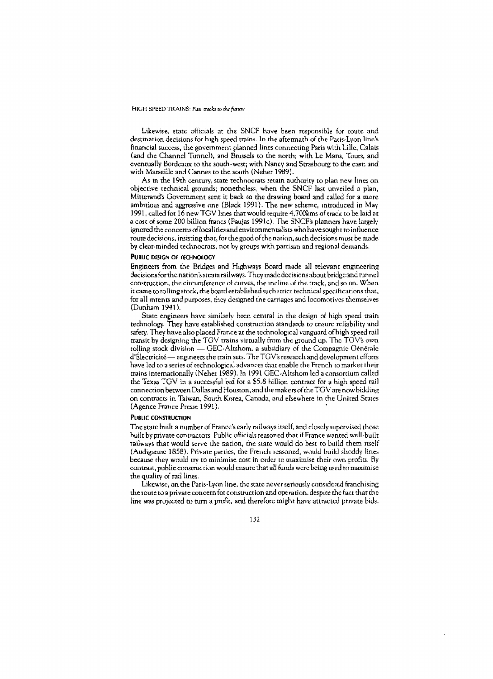Likewise, state officials at the SNCF have been responsible for route and destination decisions for high speed trains. In the aftermath of the Patis-Lyon line's financial **success,** the government **pIanned** lincs connecting **Paris** with Lillc, Calais (and **312** Channel Tunnel), and Brussels to the north; **wirh Le** Mans, **Tours, and eventually Bordeaux** to **the** south-west; with **Nancy** and **Strasbourg** to the cast; and **with** Marseille and **Cannes** to the **swth** (Neher 19891.

As in the 19th century, state *technocrats retain audwority to plan new lines on* objective techntca1 grounds; nonetheless, when the SNCF last unveiled a **plan, Mittemnd's** Government **sent** it back **to the drawing** board and called for a **more ambitious** and aggressive one (Black 19911. The **new schemc, inmduced** in **Mag**  1991, **called fot** 16 **new** TGV lines **hat woukl** requite **4,702kms of** track to be laid at a **cost** of **some** 200 billion **francs** (Faujas **1991~).** The SNCF's planners have **largely**  ignored the concerns of localities and environmentalists who have sought to influence route decisions. insisting **ht,** for the good of the nation, such decisions must be made by clear-minded technocrats, not by groups with partisan and regional demands.

# **PUBUC DESIGN OF TECHNOLOGY**

Engineers from the Bribes and Highways Board made all relevant engineering **decuionsfor thenationkstcamrailways. They** madedeclsions aboutbridgeand **runnel**  construction, **the** circumference **of curves, the incline t)f the rtack,** and **so on.** When it came to rolling stock, the board established such strict technical specifications that,<br>for all intents and purposes, they designed the carriages and locomotives themselves **(Dunham 1941** 1.

**State engineers have similarly been central in the design of high speed train** technology They **have** established construction **srandards** to **cnsure** reliability and safety. They have **also** placed France at the technological vanguard of high speed rail **rransit** by design~n~ **rhe** TGV **trams** virtually from **the** ground **up.** Thc TGVb **own**  tolation of the stock also placed France at the technological vanguard of high speed rail transit by designing the TGV trains virtually from the ground up. The TGV's own rolling stock division — GEC-Altshom, a subsidiary o d1~lec.icit6- engineers the train sets. 7hr TCV'S research and development **cffutts**  have led to a series of technological advances that enable the French to market their **mains internationally** (Neher 1989). In 1991 GEC+Altshom led a consortium called **the Texas** TGV in **a successful** bid for a *\$5.8* hillion wntracr for **a** high speed rail mnnecrlon **betwccn** Dallas **and** Houston. and the **makers** oftheTGVare now bidding on **contracts** in Taiwan, South Korea, Canada, and elhewhere in the United starc; ( **Agencc France Prcsse** 199 **1** ) .

### **PUBLIC CONSTRUCTION**

The state built a number of France's early railways itself, and closely supervised those built **by** privatecontmctots. Public officials reasoned that ~f **Fnnce** want4 well-built railways that would serve the nation, the state would do best to build them uself **(Audiganne** 1858). **Privatr** parties, the Frenc-h reasoned, **wiluld** build **shoddy lines because chev** would trv **to** minimise cost in **ordcr** tc rnaximise [heir own ntofir.. **Rv**  contrast, public construction would ensure that all funds were being used to maximise the quality of rail lines.

Likewise, on the Paris-Lyon line, the state never seriously considered franchising the route **td** a private concern for cnnstruction and operation, **desp~re thc fact** that thc line was projected to rum a prdit, and therefore **might** have attracted private bids.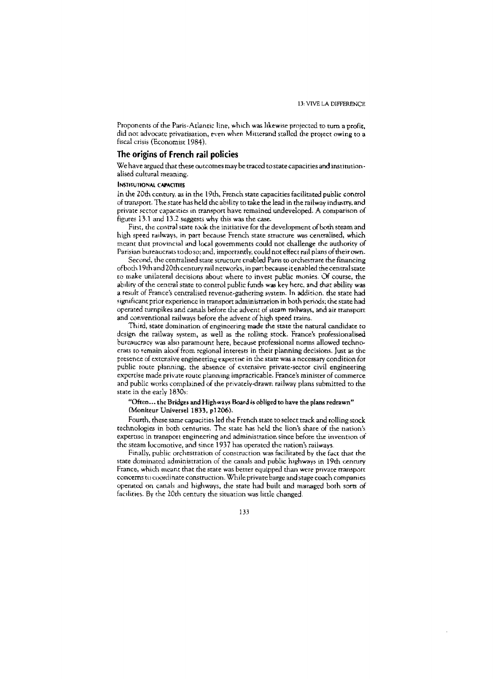Proponents of the Paris-Atlantic line, which was likewise projected to turn a profit. did not advocate privatisation, even when Mitterand stalled the project owing to a fiscal crisis (Economist 1984).

# The origins of French rail policies

We have argued that these outcomes may be traced to state capacities and institutionalised cultural meaning.

# **INSTITUTIONAL CAPACITIES**

In the 20th contury, as in the 19th, French state capacities facilitated public control of transport. The state has held the ability to take the lead in the railway industry, and private sector capacities in transport have remained undeveloped. A comparison of figures 13.1 and 13.2 suggests why this was the case.

First, the central state took the initiative for the development of both steam and high speed railways, in part because French state structure was centralised, which meant that provincial and local governments could not challenge the authority of Parisian bureaucrats to do so; and, importantly, could not effect rail plans of their own.

Second, the centralised state structure enabled Paris to orchestrate the financing of both 19th and 20th century rail networks, in part because it enabled the central state to make unilateral decisions about where to invest public monies. Of course, the ability of the central state to control public funds was key here, and that ability was a result of France's centralised revenue-gathering system. In addition, the state had significant prior experience in transport administration in both periods; the state had operated turnpikes and canals before the advent of steam railways, and air transport and conventional railways before the advent of high speed trains.

Third, state domination of engineering made the state the natural candidate to design the railway system, as well as the rolling stock. France's professionalised bureaucracy was also paramount here, because professional norms allowed technocrats to temain aloof from regional interests in their planning decisions. Just as the presence of extensive engineering expertise in the state was a necessary condition for public route planning, the absence of extensive private-sector civil engineering expertise made private route planning impracticable. France's minister of commerce and public works complained of the privately-drawn railway plans submitted to the state in the early 1830s:

# "Often... the Bridges and Highways Board is obliged to have the plans redrawn" (Moniteur Universel 1833, p1206).

Fourth, these same capacities led the French state to select track and rolling stock technologies in both centuries. The state has held the lion's share of the nation's expertise in transport engineering and administration since before the invention of the steam locomotive, and since 1937 has operated the nation's railways.

Finally, public orchestration of construction was facilitated by the fact that the state dominated administration of the canals and public highways in 19th century France, which meant that the state was better equipped than were private transport concerns to coordinate construction. While private barge and stage coach companies operated on canals and highways, the state had built and managed both sorts of facilities. By the 20th century the situation was little changed.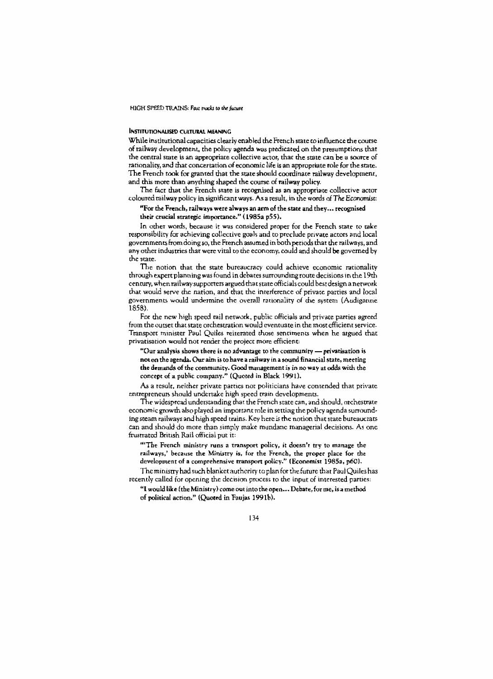#### INSTITUTIONALISED CULTURAL MEANING.

While institutional capacities clearly enabled the French state to influence the course of railway development, the policy agenda was predicated on the presumptions that the central state is an appropriate collective actor, that the state can be a source of rationality, and that concertation of economic life is an appropriate role for the state. The French took for granted that the state should coordinate railway development. and this more than anything shaped the course of railway policy.

The fact that the French state is recognised as an appropriate collective actor coloured railway policy in significant ways. As a result, in the words of The Economist:

# "For the French, railways were always an arm of the state and they... recognised their crucial strategic importance." (1985a p55).

In other words, because it was considered proper for the French state to take responsibility for achieving collective goals and to preclude private actors and local governments from doing so, the Ftench assumed in both periods that the railways, and any other industries that were vital to the economy, could and should be governed by the state.

The notion that the state bureaucracy could achieve economic rationality through expert planning was found in debates surrounding route decisions in the 19th century, when railway supporters argued that state officials could best design a network that would serve the nation, and that the interference of private parties and local governments would undermine the overall rationality of the system (Audiganne 1858).

For the new high speed rail network, public officials and private parties agreed from the outset that state orchestration would eventuate in the most efficient service. Transport minister Paul Ouiles reiterated those sentiments when he argued that privatisation would not render the project more efficient:

"Our analysis shows there is no advantage to the community — privatisation is not on the agenda. Our aim is to have a railway in a sound financial state, meeting the demands of the community. Good management is in no way at odds with the concept of a public company." (Quoted in Black 1991),

As a result, neither private parties nor politicians have contended that private entrepreneurs should undertake high speed train developments.

The widespread understanding that the French state can, and should, orchestrate economic growth also played an important role in setting the policy agenda surrounding steam railways and high speed trains. Key here is the notion that state bureaucrats can and should do more than simply make mundane managerial decisions. As one frustrated British Rail official put it:

"The French ministry runs a transport policy, it doesn't try to manage the railways,' because the Ministry is, for the French, the proper place for the development of a comprehensive transport policy." (Economist 1985a, p60).

The ministry had such blanket authority to plan for the future that Paul Quiles has recently called for opening the decision process to the input of interested parties:

"I would like (the Ministry) come out into the open... Debate, for me, is a method of political action," (Quoted in Faujas 1991b).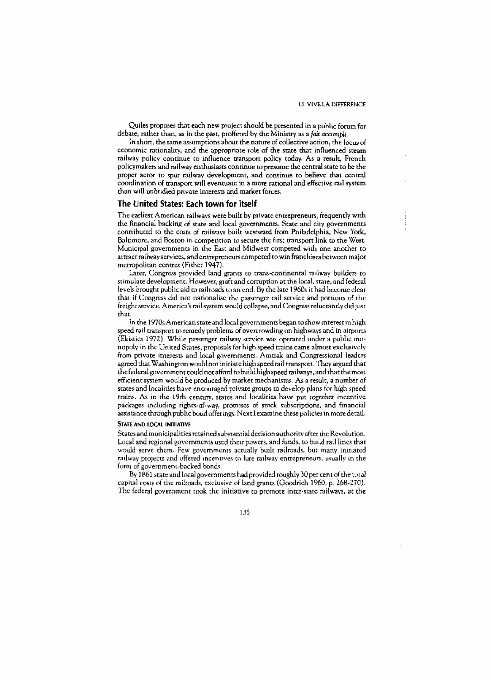ŧ

Quiles proposes that each **new project** should be presented in a public forurn for debate, rather than, as in the past, proffered by the Ministry as a *fait accompli.* 

**In** short, **the same** assumptions about the **nature** of collective action, **the** lucu of **economic** rationality, and the appropriate rate of **the state** that influenced steam railway **policy** continue **to** influence **transport** policy today. **As** a result, **French**  policymaLers and railway enthusiasts conrinue to **ptesume** the **central** state to **lx the proper actor** to spur railway development, **and** conrinue to believe **that central**  coordination of **mansport** will eventuate in a more rational **and effective** rail **system**  than **will** unbridled private **inrerests and** market **farces.** 

# **The United States: Each town for itself**

The earliest American railways were built by private entrepreneurs, frequently with the financial backing of state and local **governments.** State and city **governments**  contributed to the **cosu** of railways built **wesnvatd** from Philadelphia, New **York,**  Baltimore, and Boston in competition to secure **the fist** transport link to **the** West. Municipal **govemmencs** in the East and Midwest competed with **one** another to armct railway services, and **entrepreneuts** competed to win franchise between major metropolim **centres** (Fisher 1947).

Later, Congress provided land grants to trans-continental railway builders to stimulate development. **However,** pft and cormption at the local. **state, and** federal levels brought public aid to railroads **co** an end. By the late 1960s it had become clear that if Congress did nor nationalist: the passenger rail service **and** portions of the freight service, America's rail system would collapse, and Congress relucrantly did just that.

In the 1970s American state and local governments began to show interest in high **speed** rail transport to **rcrncdy** problem **of** overcrowding on highways and in airpnrts **(Ekistics** 1972). While **passenger railway service** was operated under a **public mo**nopoly in the United Srata, **ptoposals fot** high **speed** trains **came** almost exclusivelv from private interests and local governments. Amtrak and Congressional leadcrs agreed that Washington **wrwld not** initiate high **speed** rail **tramport.** They **argued thar thefederalgovcrnmcnt** could not afford to build highspeed railways, and that themosc efficient **system** would be produced by market mechanisms. **As** a **result, a number** of **states** and lncalltks **have encouragad** private **groups** to develop plans for high **speed trains. As ~r: rl~e 19th** century, states and localities **have** put togerher incentive packages including rights-of-way, promises of stock subscriptions, and financial assistance through public bond offerings. Next I examine these policies in more detail.

#### **STATE AND LOCAL INITIATIVE**

States and munici~alities **rctaind subsranrial** decision **author** in' dtet the Revolution. Local and regionai **governmenrs** uscd Aelr powers, and funds, ro butld rail lines that would serve hem. Few **governments** actually built railroads, but many initiated railway projects and offered incentives to lure railway entrepreneurs, usually in the form of government-backed bonds.

By 1861 state and local governments had provided roughly 30 per cent of the total capital costs of the railroads, exclusive of land grants (Goodrich 1960, p. 268-270). The federal government took the initiative to promote inter-state railways, at the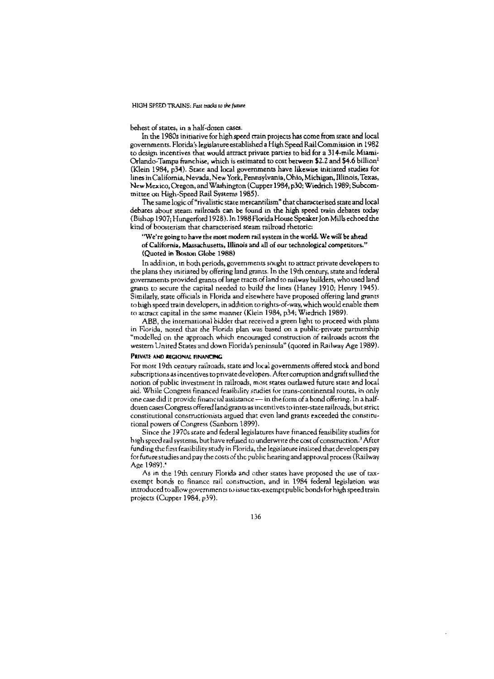behest of states, in a half-dozen cases.

In the 1980s initiative for high speed train projects has come from state and local governments. Florida's **legalamre** established a High Sped Rail **Commission** in 1982 to design incentives that would attract **private** parties to **bid for** a 314-mile **Miami-**Orlando-Tampa franchise, which is estimated to cost **betwecn \$2.2 and \$4.6** billion1 (Klein 1984, **p34). State and** local **governments have likewise initiared studies for**  lines **in** California, **Nevada, New York, Pennsylvania,** Ohio, Michigan, Illinois, **Texas, New** Mex **iw,** Oregon, **and Washington (Cupper 1984, \$0:** W iedtich 1989; **Subcom**mittee on High-Speed Rail Systems 1985).

The **same** logicof **"rivalistic state mercantilism" that characterbed stateand** 1-1 debates **about** steam railtoads can be fwnd m the high qxd train debates **tday**  (Bishop 1907;Hungerfod **1928).** In 1988 FloridaHouseSpeakerjon MilLechwd the kind **of boosterism that characterised srcam** railroad rhetoric:

**'We're going to** have the most **modem rail system** in the worId. **Wt will** be **ahead of California, Massachusetts, Illinois and all** of our technologd **competitors."**  (Quoted in **Boston Globe 1988)** 

**In addit** ion, **In** both **periods, govemmena** sought **ro** attract private **developers** to the plans they miciated by **offering** land pnrs. **In** the 19th century, state and federal **governmena provided grants** of large tracts **of** land to railway builders, who used **land granu** to secure **rhe** capiml needed to build the lines **(Haney** 1910; Henry **1945).**   $\overline{\text{Similarly, state} }$  officials in Florida and elsewhere have proposed offering land grants to hlgh speed train developers, in add~tion to rights-of-way, which **would** enable **hem**  to acctact capital in the same manner (Klein 1984, **p34;** Wicdrich 1989).

ABB, the international bidder that received a green light to proceed with plans in Florida, noted that the Florida plan was based on a public-private partnership "modclld on **the** approach which encouraged construction **oi** tailrds **across** the western **United** States and **down** Florida's peninsula" **(quoted** in Railway **Age** 1989).

### **PRIVATE AND REGIONAL FINANCING**

Far **most** 19th century railroads, state and **Imal govemmenrsoffered stwk** and bond  $s$ ubscriptions as incentives to private developers. After corruption and graft sullied the notion of public investment in railroads, most states outlawed future state and local aid. While **Congress financed** feasibliiq ~rudies for trans-continental routes, in only notion of public investment in railroads, most states outlawed future state and local<br>aid. While Congress financed feasibility studies for trans-continental routes, in only<br>one case did it provide financial assistance -- dozencases **Congressoffered Iandgrancsas** incentives: tointer-state railroads, but strict constitutional **consrrucrinnkn** argued that even land **gram exceeded thc comrlru**tional **powers** of **Congress (Sanborn** 1899).

**Since the** 1970s **scdtc** and federal legislatures have financed feasibility studies for **h~ph** speed rail syscems, but. **have rcfused** to underwrite rhe cmt of construction? **After funding thc** first feasibility study in Florida, the legislature insisted that developers **pay**  for hturestudiesandpay thecoscsof **the** public 'hearing andapprilval process (Railway **Ace** 1989 1 .'

**As In** the 19th **century Florida and ocher** states have proposed **thc use** of **tax**exempt bonds to finance rail construction, and in 1984 federal legislation was introduced ro allciw **gwcrnments** to **tssut:** tax-exempt publicbonds **for hib&** speed train projects **(Cupper** 1984, *p39}.*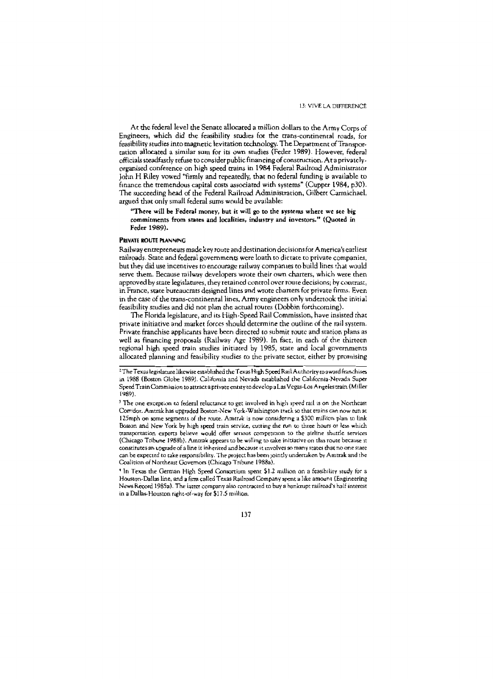At **the** federal level the Senate allocated a million dollars **to** the **Army** *Corps* of Enginects, which did the feasibility studies for the trans-continental roads, for feasibility **studies** into magnetic **leviration** trchnology. **The Deparment** of **Ti-anspr**ration **allmted** a similar **sum for** its **own studies (Fedet** 1989). **However. fedcral**  officials steadfastly refuse to consider public financing of construction. At a privately**organised conference on high speed trains in 1984 Federal Railroad Administrator** John H Riley vowed **"firmly** and repeatedly, that no federal funding **is** available to finance the **tremendous** capital costs associated with systems" (Cupper 1984, p30). The succeeding head of the Federal Railroad Adminisltation, **Gilbcrr** Carmichael, argued that only **small** federal **sums would** be available:

"There **will be Federal money, but it wi1I go to the system where we see big commitments from sates and localities, induruy and investors." (Quoted in Feder 1989).** 

# **PRIVATE ROUTE PLANNING**

Railway **enmpteneurs** made key route and destination dccisionsfor America's earlier **tailrads. Smre and** federal governments were loath **10** dictate **co** private companies, but they did **use** incentives to encourage railway **companies** to build lines that would  $s$ erve them. Because railway developers wrote their own charters, which wete then approved by **state** legislatures, they retaind **ccmtrol** over route **decisions;** by contrast, in France, **sere** bureaucrats **designed** lines ad wrote charters fur private firms. Even in **he** case of the mans-continental lines, **Amy** engineers only undertook the inirial feasibility studies and did not plan **the** actual **routcs** (Dobbin forrhcnrning).

The Florida legislature, and its High-Speed Rail Commission, have insisted that **~rivate** initiative and market **forccs** should **detcrmine** the outline of the mil **svstem.**  hate franchise applicants have been directed to **submit routc** and srarion **plans** as well as financing proposals (Railway Age 1989). In fact, in each of the thirteen regional high **speed** train studies initiaccd **by** 1985, state and local **governments**  allocated planning and feasibility studies to the private sector, either by promising

<sup>2</sup>The Texas legislature likewise established the Texas High Speed Rail Authority to award franchises in 1988 (Boston Globe 1989). California and Nevada established the California-Nevada Super Speed Train Commission to attract a private entity to develop a Las Vegas-Los Angeles train (Miller **ra9).** 

**<sup>3</sup> The one exception to federal reluctance to get involved in high speed rail is on the Northeast** Corridor. **Amtrak has upgraded Boston-Ncw Yark-Washington trdck m** that trains **can now** run ar **125mph on some segments of the route. Amerak is now considering a \$300 million plan to link** Boston and New York by high speed train service, cutting the run to three hours or less which transportation **experts bel:eve would offer serwus cnrnpztlturi to the airline shutrlc services (Chicago Tribune 1988b). Amtrak appears to be willing to take initiative on this route because it wnstirutesan upgradeof a line ir inherited** and **kiause ~t involves so many srarcs chat noune starc can be expecrd to take tespnsibility.** Thr **project has been ]ointly underrakcn by Amtrak and** thc **Gal ition of Northeast Governors** (Ch~cago **Tribune I P88a).** 

' **In Texas the German High Speed Gnsortium spent \$1.2** rn~lt~on **on a feasihjlity study** for **<sup>a</sup> Houston+Dallas line, and a** firm **called Texas Railmad Campany smt a** like **amoun t** (Engineering **News Rwrd 1985a). Thc iarrcr company also cnnrracted to buy a hankrupt railroad's half interest in a Dallas-Houston right-of-way for \$17.5 million.**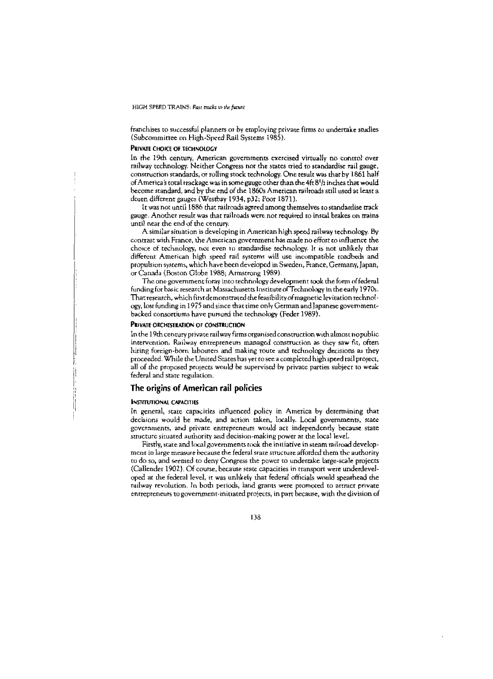franchises to successful planners or by employing private firms to undertake studies (Subcommittee on High-Speed Rail Systems 1985).

# PRIVATE CHOICE OF TECHNOLOGY

In the 19th century, American governments exercised virtually no control over railway technology. Neither Congress nor the states tried to standardise rail gauge. construction standards, or rolling stock technology. One result was that by 1861 half of America's total trackage was in some gauge other than the 4ft  $8^{1}h$  inches that would become standard, and by the end of the 1860s American railroads still used at least a dozen different gauges (Westbay 1934, p32; Poor 1871).

It was not until 1886 that railroads agreed among themselves to standardise track gauge. Another result was that railroads were not required to instal brakes on trains until near the end of the century.

A similar situation is developing in American high speed railway technology. By contrast with France, the American government has made no effort to influence the choice of technology, nor even to standardise technology. It is not unlikely that different American high speed rail systems will use incompatible roadbeds and propulsion systems, which have been developed in Sweden, France, Germany, Japan, or Canada (Boston Globe 1988; Armstrong 1989).

The one government foray into technology development took the form of federal funding for basic research at Massachusetts Institute of Technology in the early 1970s. That research, which first demonstrated the feasibility of magnetic levitation rechnology, lost funding in 1975 and since that time only German and Japanese governmentbacked consortiums have pursued the technology (Feder 1989).

# PRIVATE ORCHESTRATION OF CONSTRUCTION

In the 19th century private railway firms organised construction with almost no public intervention. Railway entrepreneurs managed construction as they saw fit, often hiring foreign-born labouters and making route and technology decisions as they proceeded. While the United States has yet to see a completed high speed rail project, all of the proposed projects would be supervised by private parties subject to weak federal and state regulation.

# The origins of American rail policies

## **INSTITUTIONAL CAPACITIES**

In general, state capacities influenced policy in America by determining that decisions would be made, and action taken, locally. Local governments, state governments, and private entrepreneurs would act independently because state structure situated authority and decision-making power at the local level.

Firstly, state and local governments took the initiative in steam railroad development in large measure because the federal state structure afforded them the authority to do so, and seemed to deny Congress the power to undertake large-scale projects (Callender 1902). Of course, because state capacities in transport were underdeveloped at the federal level, it was unlikely that federal officials would spearhead the tailway revolution. In both periods, land grants were promoted to attract private entrepreneurs to government-initiated projects, in part because, with the division of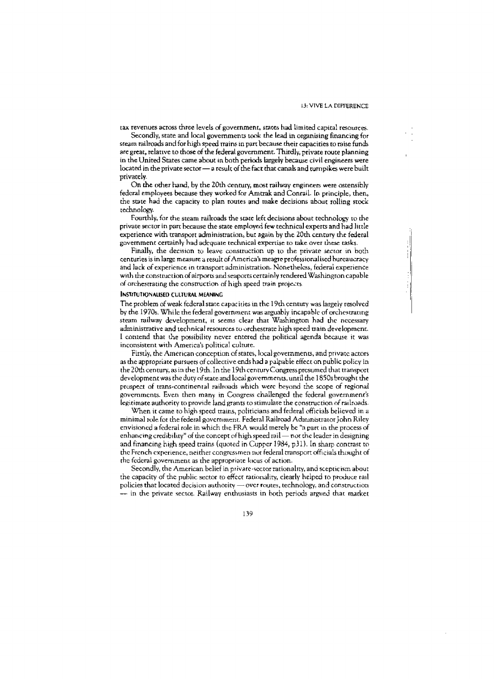tax revenues across three levels of government, states had limited capital resources.

**Secondly,** stare and **local governments tmk the** lead in orpnising **financing for steam** railroads and for high **sped** mains In part because their capacities to raise funds **arc** great, **relattve** to **those of rhe federal** government. Thirdly, private route **planning**  in **the** United States **came** about **in** both periods **Iargeiy because** civil engineers **were**  located in the private sector- a rcsult of **rhefacr** that **canals** and turnpikes **were** built privately.

**On** the other hand, **by the** 20th century, most railway engineers **were** ostensibly federal employees because they worked for Amtrak and Conrail. In principle, then, the state had the capacity to plan routes and make decisions about rolling stock *technolw.* 

**Fourthly,** for **the steam** railtoads the **srarc** left **decisions** about technolw to the **private sector** in part **hecause rhe state** ernplnyd **few** technical experts **and** had little experience with mnsprt administration, but again by the 20th **century** the **federal**  government **cerrainly** had adcquate technical expertise to *de* over **these tasks.** 

Finally, the decision to leave construction up to the private sector in both centuries is in large measure a result of America's meagre professionalised bureaucracy and lack of cxnericnce **In** transport administration. Nonetheless, federal experience with the construction of airports and seaports certainly rendered Washington capable **of** orchextating the **construction** of high speed train projects

#### **INSTITUTIONAIISED** CULTURAL MEANING

The problem of **weak** fcdcral sate **capacities tn** the **19th** century was largely resolvcd by the 1970s. While the federal government was **arguably** incapablc of orchcstrat~ng steam railway development, it seems clear that Washington had the necessary administrative **and** technical resources **to** urchestratc high **speed** train developrncnr. I contend that **he** possibiliry never enrered the political agenda **because** it **wa5**  inconsistent with America's political **cuirute.** 

Firstly, the American conception of states, local governments, and private actors as the appropriate **putsuers** of collective ends had a **ralpabie** effect on public policy in the **20h** century, as in **the** 19th. In the 19th **centu~Congress prcsurncd** that ransport development was the duty nf stateand local governments, until the 1850s brought **the**  prospect of trans-continental railroads which were beyond the scope of regional **gnvcmmcnts.** Even then many in Congress **challenged** the federal **govemrnrnr's**  legitimate authority to provide land grants to stimulate the construction of railroads.

When it came to high speed trains, politicians and federal officials believed in a minimal role for the federal government. Federal Railroad Administrator John Riley cnvisinncd a **fcdcral** role in which tllc FRA would **merely be "3** part in the prxess of enhancing credibility" of the concept of high speed rail - not the leader in designing and financing high speed trains (quoted in Cupper 1984, p31). In sharp contrast to the French experience, neither congressmen not federal transport officials thought of the federal government as the appropriate locus of action.

Secondly, the American belief in privdrc-scctor rationality, and scepticism **about**  the capacity of **the** public sector **to** *eHcct* raric~naliry, clearly helped to prduce tail Secondly, the American belief in private-sector rationality, and scepticism about<br>the capacity of the public sector to effect rationality, clearly helped to produce rail<br>policies that located decision authority — over rout policies that located decision authority -- over routes, technology, and construction<br>-- in the private sector. Railway enthusiasts in both periods atgued that market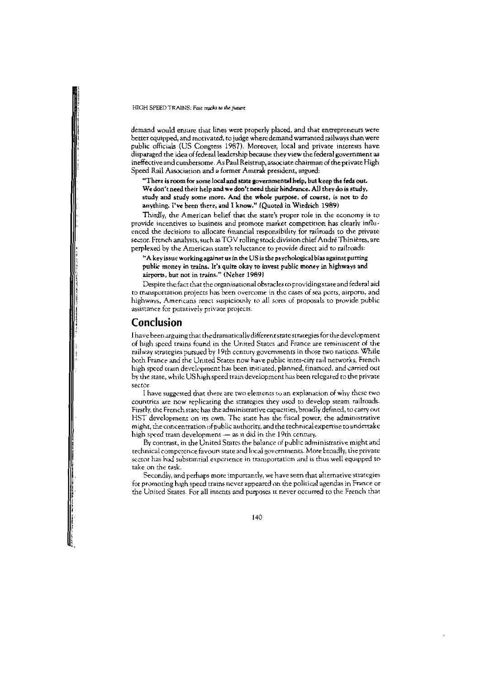demand would ensure that lines were properly placed, and that entrepreneurs were better equipped, and motivated, to judge where demand warranted railways than were public officials (US Congress 1987). Moreover, local and private interests have disparaged the idea of federal leadership because they view the federal government as ineffective and cumbersome. As Paul Reistrup, associate chairman of the private High Speed Rail Association and a former Amtrak president, argued:

"There is room for some local and state governmental help, but keep the feds out. We don't need their help and we don't need their hindrance. All they do is study, study and study some more. And the whole purpose, of course, is not to do anything. I've been there, and I know." (Ouoted in Wiedrich 1989)

Thirdly, the American belief that the state's proper tole in the economy is to provide incentives to business and promote market competition has clearly influenced the decisions to allocate financial responsibility for railroads to the private sector. French analysts, such as TGV rolling stock division chief André Thinières, are perplexed by the American state's reluctance to provide direct aid to railroads:

"A key issue working against us in the US is the psychological bias against putting public money in trains. It's quite okay to invest public money in highways and airports, but not in trains." (Neher 1989)

Despite the fact that the organisational obstacles to providing state and federal aid to transportation projects has been overcome in the cases of sea ports, airports, and highways, Americans react suspiciously to all sorts of proposals to provide public assistance for putatively private projects.

# Conclusion

I have been arguing that the dramatically different state strategies for the development of high speed trains found in the United States and France are reminiscent of the railway strategies pursued by 19th century governments in those two nations. While both France and the United States now have public inter-city rail networks. French high speed train development has been initiated, planned, financed, and carried out by the state, while US high speed train development has been relegated to the private sector.

I have suggested that there are two elements to an explanation of why these two countries are now replicating the strategies they used to develop steam railroads. Firstly, the French state has the administrative capacities, broadly defined, to carry out HST development on its own. The state has the fiscal power, the administrative might, the concentration of public authority, and the technical expertise to undertake high speed train development - as it did in the 19th century.

By contrast, in the United States the balance of public administrative might and technical competence favours state and local governments. More broadly, the private sector has had substantial experience in transportation and is thus well equipped to take on the task.

Secondly, and perhaps more importantly, we have seen that alternative strategies for promoting high speed trains never appeared on the political agendas in France or the United States. For all intents and purposes it never occurred to the French that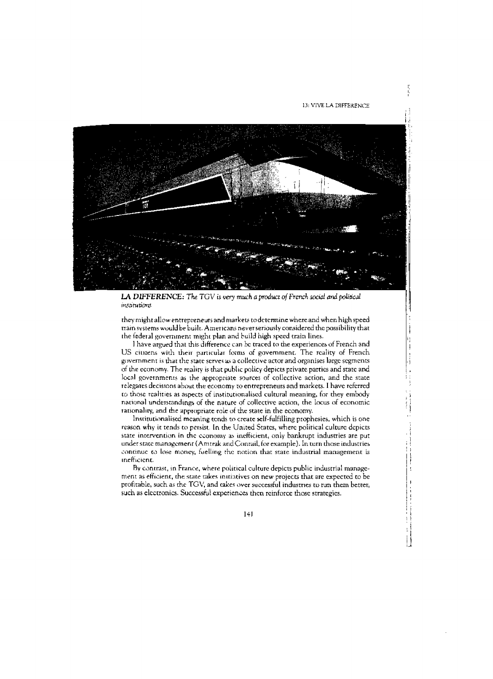#### 13: VIVE LA DIFFERENCE

ţ



LA DIFFERENCE: The TGV is very much a product of French social and political institutions

they might allow entrepreneurs and markets to determine where and when high speed train systems would be built. Americans never seriously considered the possibility that the federal government might plan and build high speed train lines.

I have argued that this difference can be traced to the experiences of French and US citizens with their particular forms of government. The reality of French government is that the state serves as a collective actor and organises large segments of the economy. The reality is that public policy depicts private parties and state and local governments as the appropriate sources of collective action, and the state relegates decisions about the economy to entrepreneurs and markets. I have referred to those realities as aspects of institutionalised cultural meaning, for they embody national understandings of the nature of collective action, the locus of economic rationality, and the appropriate role of the state in the economy.

Institutionalised meaning tends to create self-fulfilling prophesies, which is one reason why it tends to persist. In the United States, where political culture depicts state intervention in the economy as inefficient, only bankrupt industries are put under state management (Amtrak and Conrail, for example). In turn those industries continue to lose money, fuelling the notion that state industrial management is inefficient.

By contrast, in France, where political culture depicts public industrial management as efficient, the state takes initiatives on new projects that are expected to be profitable, such as the TGV, and takes over successful industries to run them better, such as electronics. Successful experiences then reinforce those strategies.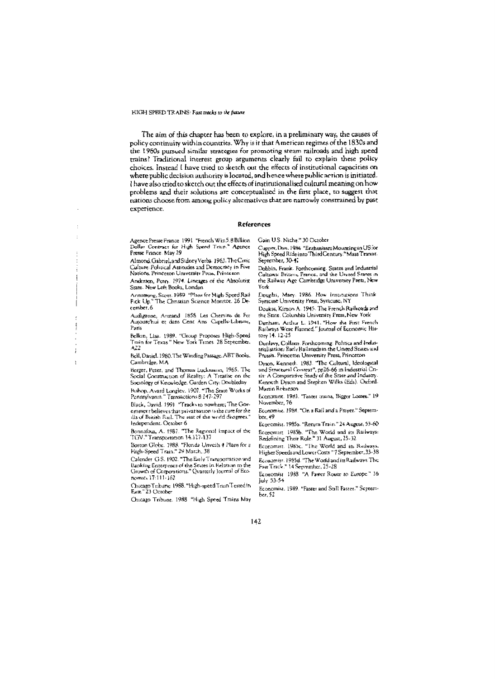The aim of this chapter has been to explore, in a preliminary way, the causes of policy continuity within countries. Why is it that American regimes of the 1830s and the 1980s pursued similar strategies for promoting steam railroads and high speed trains? Traditional interest group arguments clearly fail to explain these policy choices. Instead I have tried to sketch out the effects of institutional capacities on where public decision authority is located, and hence where public action is initiated. I have also tried to sketch out the effects of institutionalised cultural meaning on how problems and their solutions are conceptualised in the first place, to suggest that nations choose from among policy alternatives that are narrowly constrained by past experience.

#### **References**

Agence Presse France 1991 "French Win 5.8 Billion Dollar Contract for High Speed Train." Agence Presse France. May 29

ċ

ţ

Í

ļ

,

Almond Gabriel, and Sidney Verba. 1963. The Civic Culture: Political Attitudes and Democracy in Five Nations, Princeton University Press, Princeton.

Anderson, Pero. 1974. Lineages of the Absolutist State. New Left Books, London

Armstrong, Scott. 1989. "Plans for High-Speed Rail Pick Up." The Christian Science Monitor. 26 December<sub>6</sub>

Audiganne, Armand 1858 Les Chemins de Fer Aujourc'hui et dans Cent Ans Capelle-Librane, Paris

Belkin, Lisa. 1989. "Group Proposes High-Speed Train for Texas" New York Times 28 September,  $A22$ 

Bell, Daniel, 1980. The Winding Passage. ABT Books, Cambridge, MA

Berger, Peter, and Thomas Luckmann, 1965. The Social Construction of Reality: A Treatise on the Sociology of Knowledge, Garden City: Doubleday

Bishop, Avard Longley, 1907. "The State Works of Pennsylvania." Transactions 8:147-297

Black, David. 1991 'Tracks to nowhere; The Govemment believes that privatisation is the cure for the ills of British Rail. The rest of the world disagrees." Independent. October 6

Bonnafous, A. 1987. "The Regional Impact of the TGV."Transportation 14.127-137

Boston Globe. 1988. "Florida Unveils 4 Plans for a High-Speed Train." 29 March, 38

Calender G.S. 1902. "The Early Transportation and Banking Enterprises of the Stutes in Relation to the Growth of Corporations." Quarterly lournal of Economics 17:111-162

Chicago Tribune 1988. "High-speed Train Tested in East." 23 October

Chicago Tribune. 1988 "High Speed Trains May

Gain U.S. Niche." 30 October

Cupper, Dan. 1984. "Enchusiasm Mounting in US for High Speed Ride into Third Century " Mass Transit. Seprember, 30-41

Dobbin, Frank. Forthcoming. States and Industrial Cultures: Britani, France, and the United States in the Railway Age Cambridge University Press, New York

Douglas, Mary. 1986. How institutions Think Syracuse University Press, Syracuse, NY

Doukas, Kimon A. 1945. The French Railroads and the State. Columbia University Press, New York

Dunham, Arthur L. 1941. "How the First French-Railways Were Planned." Journal of Economic History 14, 12-25

Duplavy, Colleen. Forthcoming. Politics and Industrialisation: Early Railroads in the United States and Prussia. Princeton University Press, Princeton.

Dyson, Kenneth. 1983. "The Cultural, Ideological and Structural Context", pp26-66 in Industrial Cnsis: A Comparative Study of the State and Industry. Kenneth Dyson and Stephen Wilks (Eds). Oxford-Martin Rebinson

Economist. 1983. "Faster trains, Bigger Losses." 19 November, 76

Economist, 1984. "On a Rail and a Prayer." Septemher. 49

Economist, 1985a. "Return Train." 24 August, 53-60 Economist 1985b. "The World and its Railways:

Redefining Their Role." 31 August, 25-32

Economist. 1985c. "The World and its Railways. Higher Speeds and Lower Costs " 7 September, 33-38

Economist. 1985d. "The World and its Railways. The Fast Track." 14 September, 25-28

Economist 1988 "A Faster Route to Europe." 16 July 53-54

Economist, 1989. "Faster and Still Faster." September, 52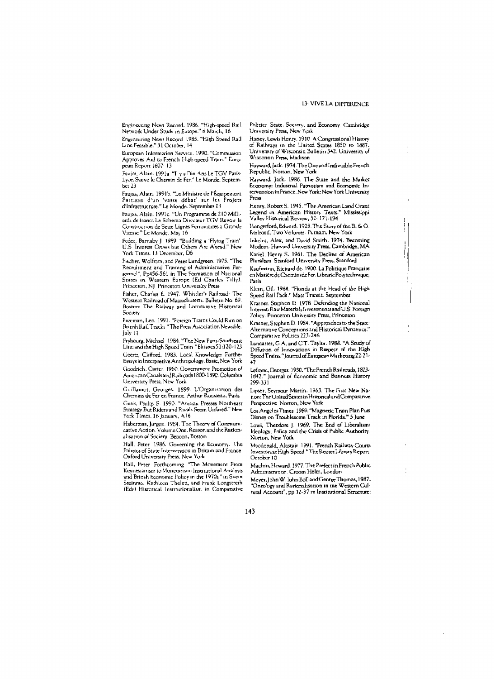Engineering News Record. 1986. "High-speed Rail Network Under Study in Europe." o March, 16

Engineering News Record 1985. "High Speed Rail Line Feasible." 31 October, 14

European Information Service, 1990. "Commission Approves Aid to French High-speed Train." European Report 1607 13

Faujas, Alain. 1991a. "Il y a Dix Ans Le TGV Paris-Lyon Sauve le Chemin de Fer." Le Monde. Septemher 23

Faujas, Alain. 1991b. "Le Ministre de l'Équipement Partisan d'un 'vaste débat' sur les Frojets d'Infrastructure." Le Monde. September 13

Faujas, Alain. 1991c. "Un Programme de 210 Milliards de francs Le Schema Directeur TGV Revoit la Construction de Seize Lignes Ferroviaires a Grande Vitesse "Le Monde. May 16

Feder, Barnaby J. 1989. "Building a 'Flying Train' U.S. Interest Grows but Others Are Ahead." New York Times, 13 December, D6

Fischer, Wolfram, and Peter Lundgreen. 1975. "The Recruitment and Training of Administrative Personnel", Pp456-561 in The Formation of National States in Western Europe (Ed Charles Tilly). Princeton, NJ Princeton University Press

Fisher, Charles E. 1947. Whistler's Railroad: The Western Railroad of Massachusens. Bulletin No. 69. Boston: The Railway and Locomotive Histoneal Society

Freeman, Len 1991. "Foreign Trains Could Run on British Rail Tracks." The Press Association Newsfile. July 11

Frybourg, Michael 1984. "The New Pans-Southeast Line and the High Speed Train "Ekistics 51:120-123

Geertz, Clifford, 1983. Local Knowledge: Further Essays in Interpretive Anthropology. Basic, New York

Goodrich, Carter, 1960. Government Promotion of American Canals and Railroads 1800-1890. Columbia University Press, New York

Guillamot, Georges. 1899. L'Organisation des Chemins de Fer en France. Arthur Rousseau, Paris

Gutis, Philin S. 1990. "Amrak Presses Northeast Strategy But Riders and Rivals Seem Unfazed." New York Times. 16 January, A16

Habermas, Jurgen. 1984. The Theory of Communicative Action. Volume One. Reason and the Rationalisation of Society. Beacon, Boston

Hall, Peter 1986. Governing the Economy. The Politics of State Intervention in Britain and France Oxford University Press, New York

Hall, Peter. Forthcoming. 'The Movement From Keynesian (50) to Monetarism: Institutional Analysis and British Economic Policy in the 1970s," in Svein Steinmo, Kathleen Thelen, and Frank Longstreth (Eds) Historical Institutionalism in Comparative Politics. State, Society, and Economy. Cambridge University Press, New York

Haney, Lewis Henry. 1910 A Congressional History of Railways in the United States 1850 to 1887. University of Wisconsin Bulletin 342. University of Wisconsin Press, Madison

Hayward, lack 1974. The One and Indivisible French Republic, Norton, New York

Hayward, Jack. 1986. The State and the Market Economy: Industrial Patriotism and Economic Intervention in France. New York: New York University Press

Henry, Robert S. 1945. "The American Land Grant Legend in American History Texts." Mississippi Valley Historical Review, 32: 171-194

Hangerford, Edward, 1928. The Story of the B. & O. Railroad, Two Volumes. Putnam, New York

Inkeles, Alex, and David Smith. 1974. Becoming Modern. Harvard University Press, Cambridge, MA

Kariel, Henry S. 1961. The Decline of American Pluralism Stanford University Press, Stanford

Kaufmann, Richard de. 1900. La Politique Française en Matière de Chemins de Fer-Librarie Polytech wque Paris

Klein, Gil. 1984. "Florida at the Head of the High Speed Rail Pack." Mass Transit. September

Krasner, Stephen D 1978. Defending the National Interest: Raw Materials Investments and U.S. Foreign Policy. Princeton University Press, Princeton

Krasner, Stephen D. 1984. "Approaches to the State: Alternative Conceptions and Historical Dynamics." Comparative Politics 223-246

Lancaster, G.A. and C.T. Taylor. 1988. "A Study of Diffusion of Innovations in Respect of the High-Speed Trains." Journal of European Marketing 22:21-47

Lefranc, Georges. 1930. "The French Railroads, 1823-1842." Journal of Economic and Business History 299-131

Lipser, Seymour Martin. 1963. The First New Nanon: The United States in Historical and Comparative Perspective Norton, New York

Los Angeles Times 1989. "Magnetic Train Plan Puts Disney on Troublesome Track in Florida." 5 June

Lowi, Theodore J. 1969. The End of Liberalism: Ideology, Policy and the Crisis of Public Authority-Norton, New York

Macdonald, Alastair. 1991. "French Railway Courts Investors at High Speed "The Reuter Library Report-October 10

Machin, Howard. 1977. The Prefect in French Public Administration. Croom Helm, London

Meyer, John W. John Boll and George Thomas, 1987. "Ontology and Rationalisation in the Western Cultural Account", pp 12-37 in Institutional Structure: